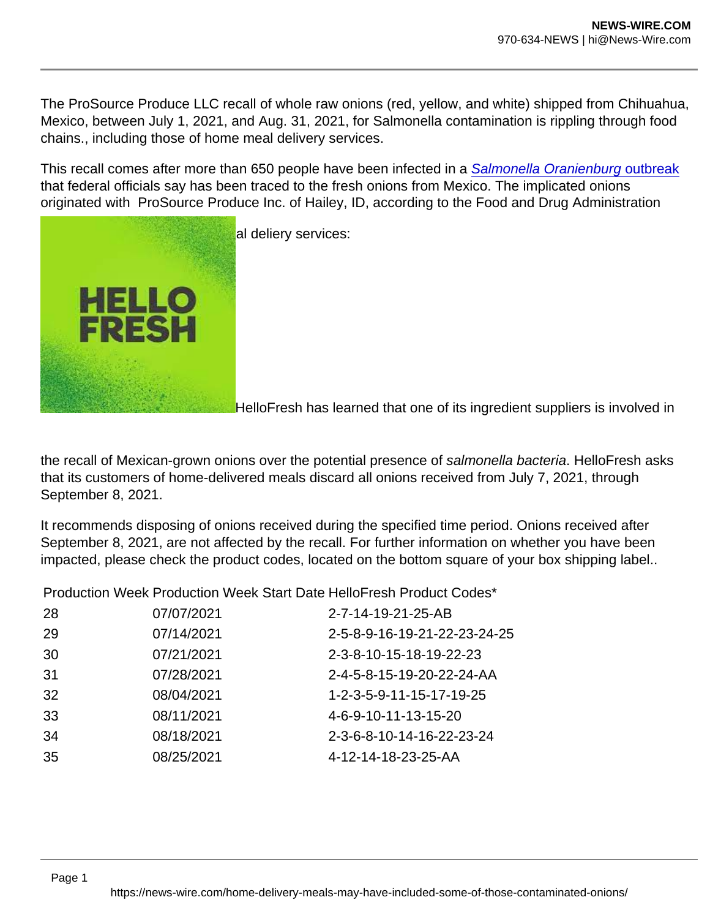The ProSource Produce LLC recall of whole raw onions (red, yellow, and white) shipped from Chihuahua, Mexico, between July 1, 2021, and Aug. 31, 2021, for Salmonella contamination is rippling through food chains., including those of home meal delivery services.

This recall comes after more than 650 people have been infected in a [Salmonella Oranienburg outbreak](https://www.foodsafetynews.com/2021/10/onions-from-mexico-identified-as-source-of-outbreak-more-than-650-patients-confirmed/) that federal officials say has been traced to the fresh onions from Mexico. The implicated onions originated with ProSource Produce Inc. of Hailey, ID, according to the Food and Drug Administration

Here"s the latest from home meal deliery services:

HelloFresh has learned that one of its ingredient suppliers is involved in

the recall of Mexican-grown onions over the potential presence of salmonella bacteria. HelloFresh asks that its customers of home-delivered meals discard all onions received from July 7, 2021, through September 8, 2021.

It recommends disposing of onions received during the specified time period. Onions received after September 8, 2021, are not affected by the recall. For further information on whether you have been impacted, please check the product codes, located on the bottom square of your box shipping label..

Production Week Production Week Start Date HelloFresh Product Codes\*

| 28 | 07/07/2021 | 2-7-14-19-21-25-AB           |
|----|------------|------------------------------|
| 29 | 07/14/2021 | 2-5-8-9-16-19-21-22-23-24-25 |
| 30 | 07/21/2021 | 2-3-8-10-15-18-19-22-23      |
| 31 | 07/28/2021 | 2-4-5-8-15-19-20-22-24-AA    |
| 32 | 08/04/2021 | 1-2-3-5-9-11-15-17-19-25     |
| 33 | 08/11/2021 | 4-6-9-10-11-13-15-20         |
| 34 | 08/18/2021 | 2-3-6-8-10-14-16-22-23-24    |
| 35 | 08/25/2021 | 4-12-14-18-23-25-AA          |
|    |            |                              |